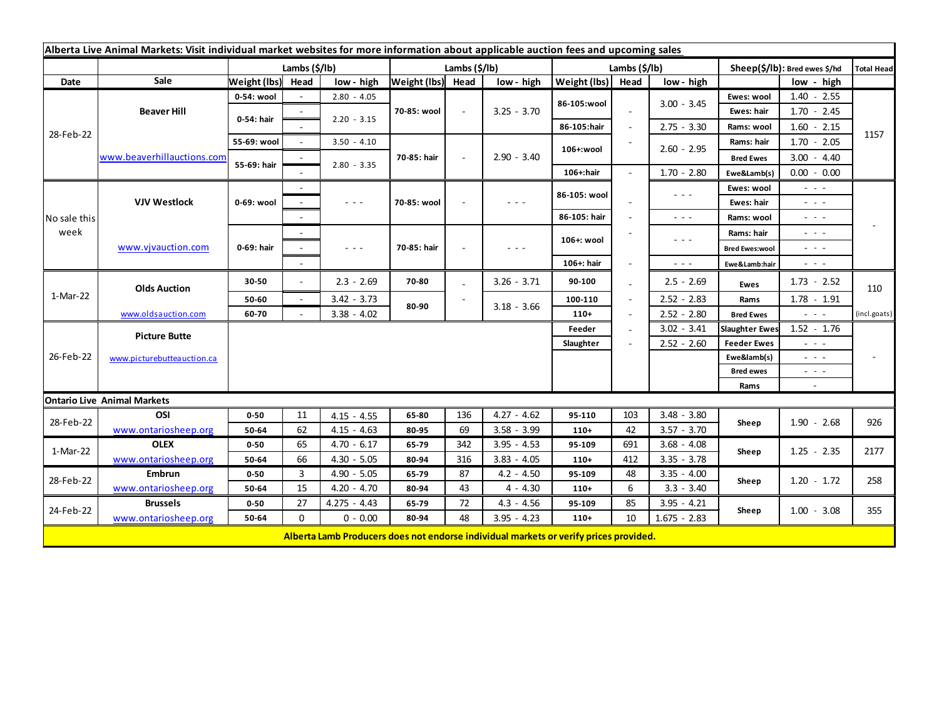| Alberta Live Animal Markets: Visit individual market websites for more information about applicable auction fees and upcoming sales |                            |                           |          |                                                                                                                           |                   |        |                      |                       |                          |                                                                                                                                                                                                                                                                                                                                                                                                                                                |                                                                                                                           |                                                                                                                           |              |
|-------------------------------------------------------------------------------------------------------------------------------------|----------------------------|---------------------------|----------|---------------------------------------------------------------------------------------------------------------------------|-------------------|--------|----------------------|-----------------------|--------------------------|------------------------------------------------------------------------------------------------------------------------------------------------------------------------------------------------------------------------------------------------------------------------------------------------------------------------------------------------------------------------------------------------------------------------------------------------|---------------------------------------------------------------------------------------------------------------------------|---------------------------------------------------------------------------------------------------------------------------|--------------|
|                                                                                                                                     |                            | Lambs $(\frac{2}{3})$ lb) |          |                                                                                                                           | Lambs (\$/lb)     |        |                      | Lambs $(\frac{2}{3})$ |                          |                                                                                                                                                                                                                                                                                                                                                                                                                                                | Sheep(\$/lb): Bred ewes \$/hd                                                                                             |                                                                                                                           | Total Head   |
| Date                                                                                                                                | Sale                       | Weight (lbs) Head         |          | low - high                                                                                                                | Weight (lbs) Head |        | low - high           | Weight (lbs)          | Head                     | low - high                                                                                                                                                                                                                                                                                                                                                                                                                                     |                                                                                                                           | low - high                                                                                                                |              |
| 28-Feb-22                                                                                                                           | <b>Beaver Hill</b>         | 0-54: wool                |          | $2.80 - 4.05$                                                                                                             | 70-85: wool       | $\sim$ | $3.25 - 3.70$        | 86-105:wool           |                          | $3.00 - 3.45$                                                                                                                                                                                                                                                                                                                                                                                                                                  | Ewes: wool                                                                                                                | $1.40 - 2.55$                                                                                                             |              |
|                                                                                                                                     |                            | 0-54: hair                |          | $2.20 - 3.15$                                                                                                             |                   |        |                      |                       |                          |                                                                                                                                                                                                                                                                                                                                                                                                                                                | Ewes: hair                                                                                                                | $1.70 - 2.45$                                                                                                             |              |
|                                                                                                                                     |                            |                           |          |                                                                                                                           |                   |        |                      | 86-105:hair           | $\overline{\phantom{a}}$ | $2.75 - 3.30$                                                                                                                                                                                                                                                                                                                                                                                                                                  | Rams: wool                                                                                                                | $1.60 - 2.15$                                                                                                             |              |
|                                                                                                                                     | www.beaverhillauctions.com | 55-69: wool               | $\sim$   | $3.50 - 4.10$                                                                                                             |                   | $\sim$ | $2.90 - 3.40$        | 106+:wool             |                          | $2.60 - 2.95$                                                                                                                                                                                                                                                                                                                                                                                                                                  | Rams: hair                                                                                                                | $1.70 - 2.05$                                                                                                             | 1157         |
|                                                                                                                                     |                            | 55-69: hair               |          |                                                                                                                           | 70-85: hair       |        |                      |                       |                          |                                                                                                                                                                                                                                                                                                                                                                                                                                                | <b>Bred Ewes</b>                                                                                                          | $3.00 - 4.40$                                                                                                             |              |
|                                                                                                                                     |                            |                           |          | $2.80 - 3.35$                                                                                                             |                   |        |                      | 106+:hair             |                          | $1.70 - 2.80$                                                                                                                                                                                                                                                                                                                                                                                                                                  | Ewe&Lamb(s)                                                                                                               | $0.00 - 0.00$                                                                                                             |              |
| No sale this<br>week                                                                                                                | <b>VJV Westlock</b>        | 0-69: wool                |          |                                                                                                                           | 70-85: wool       |        | - - -                | 86-105: wool          |                          | $\frac{1}{2} \left( \frac{1}{2} \right) + \frac{1}{2} \left( \frac{1}{2} \right) + \frac{1}{2} \left( \frac{1}{2} \right) + \frac{1}{2} \left( \frac{1}{2} \right) + \frac{1}{2} \left( \frac{1}{2} \right) + \frac{1}{2} \left( \frac{1}{2} \right) + \frac{1}{2} \left( \frac{1}{2} \right) + \frac{1}{2} \left( \frac{1}{2} \right) + \frac{1}{2} \left( \frac{1}{2} \right) + \frac{1}{2} \left( \frac{1}{2} \right) + \frac{1}{2} \left($ | Ewes: wool                                                                                                                | - - -                                                                                                                     |              |
|                                                                                                                                     |                            |                           |          | $\frac{1}{2} \left( \frac{1}{2} \right) \left( \frac{1}{2} \right) \left( \frac{1}{2} \right) \left( \frac{1}{2} \right)$ |                   |        |                      |                       |                          |                                                                                                                                                                                                                                                                                                                                                                                                                                                | Ewes: hair                                                                                                                | $\frac{1}{2} \left( \frac{1}{2} \right) \left( \frac{1}{2} \right) \left( \frac{1}{2} \right)$                            |              |
|                                                                                                                                     |                            |                           |          |                                                                                                                           |                   |        |                      | 86-105: hair          |                          | $\frac{1}{2} \left( \frac{1}{2} \right) \frac{1}{2} \left( \frac{1}{2} \right) \frac{1}{2} \left( \frac{1}{2} \right)$                                                                                                                                                                                                                                                                                                                         | Rams: wool                                                                                                                | $\sim$ 100 $\pm$                                                                                                          |              |
|                                                                                                                                     | www.vjvauction.com         | 0-69: hair                | $\sim$   |                                                                                                                           | 70-85: hair       |        | $\sim$ $\sim$ $\sim$ | 106+: wool            |                          |                                                                                                                                                                                                                                                                                                                                                                                                                                                | Rams: hair                                                                                                                | $\frac{1}{2} \left( \frac{1}{2} \right) \left( \frac{1}{2} \right) \left( \frac{1}{2} \right) \left( \frac{1}{2} \right)$ |              |
|                                                                                                                                     |                            |                           |          | $\frac{1}{2} \left( \frac{1}{2} \right) \left( \frac{1}{2} \right) \left( \frac{1}{2} \right) \left( \frac{1}{2} \right)$ |                   |        |                      |                       |                          | $\frac{1}{2} \left( \frac{1}{2} \right) \left( \frac{1}{2} \right) \left( \frac{1}{2} \right) \left( \frac{1}{2} \right)$                                                                                                                                                                                                                                                                                                                      | <b>Bred Ewes:wool</b>                                                                                                     | $\frac{1}{2} \left( \frac{1}{2} \right) \frac{1}{2} \left( \frac{1}{2} \right) \frac{1}{2} \left( \frac{1}{2} \right)$    |              |
|                                                                                                                                     |                            |                           | $\sim$   |                                                                                                                           |                   |        |                      | 106+: hair            |                          | $\omega_{\rm c}$ and $\omega_{\rm c}$                                                                                                                                                                                                                                                                                                                                                                                                          | Ewe&Lamb:hair                                                                                                             | $ -$                                                                                                                      |              |
| 1-Mar-22                                                                                                                            | <b>Olds Auction</b>        | 30-50                     | $\sim$   | $2.3 - 2.69$                                                                                                              | 70-80             |        | $3.26 - 3.71$        | 90-100                |                          | $2.5 - 2.69$                                                                                                                                                                                                                                                                                                                                                                                                                                   | Ewes                                                                                                                      | $1.73 - 2.52$                                                                                                             | 110          |
|                                                                                                                                     |                            | 50-60                     | $\sim$   | $3.42 - 3.73$                                                                                                             | 80-90             |        |                      | 100-110               |                          | $2.52 - 2.83$                                                                                                                                                                                                                                                                                                                                                                                                                                  | Rams                                                                                                                      | $1.78 - 1.91$                                                                                                             |              |
|                                                                                                                                     | www.oldsauction.com        | 60-70                     |          | $3.38 - 4.02$                                                                                                             |                   |        | $3.18 - 3.66$        | $110+$                |                          | $2.52 - 2.80$                                                                                                                                                                                                                                                                                                                                                                                                                                  | <b>Bred Ewes</b>                                                                                                          | $\sim$ 100 $\sim$                                                                                                         | (incl.goats) |
| 26-Feb-22                                                                                                                           | <b>Picture Butte</b>       |                           |          |                                                                                                                           |                   |        |                      | Feeder                |                          | $3.02 - 3.41$                                                                                                                                                                                                                                                                                                                                                                                                                                  | <b>Slaughter Ewes</b>                                                                                                     | $1.52 - 1.76$                                                                                                             |              |
|                                                                                                                                     |                            | Slaughter                 |          |                                                                                                                           |                   |        |                      |                       |                          | $2.52 - 2.60$                                                                                                                                                                                                                                                                                                                                                                                                                                  | <b>Feeder Ewes</b>                                                                                                        | $\sim$ 10 $\sim$                                                                                                          |              |
|                                                                                                                                     | www.picturebutteauction.ca |                           |          |                                                                                                                           |                   |        |                      |                       |                          |                                                                                                                                                                                                                                                                                                                                                                                                                                                | Ewe&lamb(s)                                                                                                               | $\frac{1}{2} \left( \frac{1}{2} \right) \frac{1}{2} \left( \frac{1}{2} \right) \frac{1}{2} \left( \frac{1}{2} \right)$    |              |
|                                                                                                                                     |                            |                           |          |                                                                                                                           |                   |        |                      |                       |                          | <b>Bred ewes</b>                                                                                                                                                                                                                                                                                                                                                                                                                               | $\frac{1}{2} \left( \frac{1}{2} \right) \left( \frac{1}{2} \right) \left( \frac{1}{2} \right) \left( \frac{1}{2} \right)$ |                                                                                                                           |              |
|                                                                                                                                     |                            |                           |          |                                                                                                                           |                   |        |                      |                       |                          |                                                                                                                                                                                                                                                                                                                                                                                                                                                | Rams                                                                                                                      | $\sim$                                                                                                                    |              |
| <b>Ontario Live Animal Markets</b>                                                                                                  |                            |                           |          |                                                                                                                           |                   |        |                      |                       |                          |                                                                                                                                                                                                                                                                                                                                                                                                                                                |                                                                                                                           |                                                                                                                           |              |
| 28-Feb-22                                                                                                                           | OSI                        | $0 - 50$                  | 11       | $4.15 - 4.55$                                                                                                             | 65-80             | 136    | $4.27 - 4.62$        | 95-110                | 103                      | $3.48 - 3.80$                                                                                                                                                                                                                                                                                                                                                                                                                                  | Sheep                                                                                                                     | $1.90 - 2.68$                                                                                                             | 926          |
|                                                                                                                                     | www.ontariosheep.org       | 50-64                     | 62       | $4.15 - 4.63$                                                                                                             | 80-95             | 69     | $3.58 - 3.99$        | $110+$                | 42                       | $3.57 - 3.70$                                                                                                                                                                                                                                                                                                                                                                                                                                  |                                                                                                                           |                                                                                                                           |              |
| 1-Mar-22                                                                                                                            | <b>OLEX</b>                | $0 - 50$                  | 65       | $4.70 - 6.17$                                                                                                             | 65-79             | 342    | $3.95 - 4.53$        | 95-109                | 691                      | $3.68 - 4.08$                                                                                                                                                                                                                                                                                                                                                                                                                                  | Sheep                                                                                                                     | $1.25 - 2.35$                                                                                                             | 2177         |
|                                                                                                                                     | www.ontariosheep.org       | 50-64                     | 66       | $4.30 - 5.05$                                                                                                             | 80-94             | 316    | $3.83 - 4.05$        | $110+$                | 412                      | $3.35 - 3.78$                                                                                                                                                                                                                                                                                                                                                                                                                                  |                                                                                                                           |                                                                                                                           |              |
| 28-Feb-22                                                                                                                           | <b>Embrun</b>              | $0 - 50$                  | 3        | $4.90 - 5.05$                                                                                                             | 65-79             | 87     | $4.2 - 4.50$         | 95-109                | 48                       | $3.35 - 4.00$                                                                                                                                                                                                                                                                                                                                                                                                                                  | Sheep                                                                                                                     | $1.20 - 1.72$                                                                                                             | 258          |
|                                                                                                                                     | www.ontariosheep.org       | 50-64                     | 15       | $4.20 - 4.70$                                                                                                             | 80-94             | 43     | $4 - 4.30$           | $110+$                | 6                        | $3.3 - 3.40$                                                                                                                                                                                                                                                                                                                                                                                                                                   |                                                                                                                           |                                                                                                                           |              |
| 24-Feb-22                                                                                                                           | <b>Brussels</b>            | $0 - 50$                  | 27       | $4.275 - 4.43$                                                                                                            | 65-79             | 72     | $4.3 - 4.56$         | 95-109                | 85                       | $3.95 - 4.21$                                                                                                                                                                                                                                                                                                                                                                                                                                  | Sheep                                                                                                                     | $1.00 - 3.08$                                                                                                             | 355          |
|                                                                                                                                     | www.ontariosheep.org       | 50-64                     | $\Omega$ | $0 - 0.00$                                                                                                                | 80-94             | 48     | $3.95 - 4.23$        | $110+$                | 10                       | $1.675 - 2.83$                                                                                                                                                                                                                                                                                                                                                                                                                                 |                                                                                                                           |                                                                                                                           |              |
|                                                                                                                                     |                            |                           |          | Alberta Lamb Producers does not endorse individual markets or verify prices provided.                                     |                   |        |                      |                       |                          |                                                                                                                                                                                                                                                                                                                                                                                                                                                |                                                                                                                           |                                                                                                                           |              |